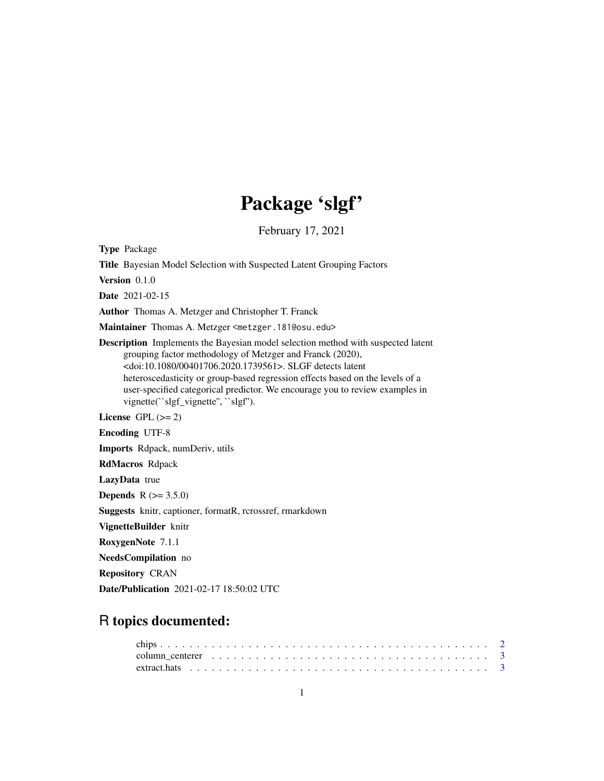## Package 'slgf'

February 17, 2021

Type Package

Title Bayesian Model Selection with Suspected Latent Grouping Factors

Version 0.1.0

Date 2021-02-15

Author Thomas A. Metzger and Christopher T. Franck

Maintainer Thomas A. Metzger <metzger.181@osu.edu>

Description Implements the Bayesian model selection method with suspected latent grouping factor methodology of Metzger and Franck (2020), <doi:10.1080/00401706.2020.1739561>. SLGF detects latent heteroscedasticity or group-based regression effects based on the levels of a user-specified categorical predictor. We encourage you to review examples in vignette(``slgf\_vignette", ``slgf").

License GPL  $(>= 2)$ 

Encoding UTF-8

Imports Rdpack, numDeriv, utils

RdMacros Rdpack

LazyData true

**Depends**  $R (= 3.5.0)$ 

Suggests knitr, captioner, formatR, rcrossref, rmarkdown

VignetteBuilder knitr

RoxygenNote 7.1.1

NeedsCompilation no

Repository CRAN

Date/Publication 2021-02-17 18:50:02 UTC

### R topics documented:

| column centerer $\ldots \ldots \ldots \ldots \ldots \ldots \ldots \ldots \ldots \ldots \ldots \ldots$ |  |
|-------------------------------------------------------------------------------------------------------|--|
|                                                                                                       |  |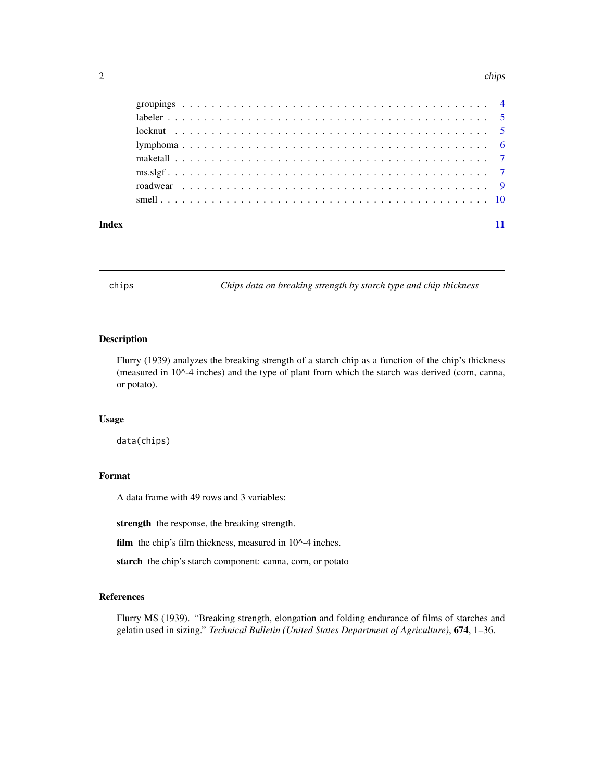#### <span id="page-1-0"></span>2 chips and the chips of the chips of the chips of the chips of the chips of the chips of the chips of the chips of the chips of the chips of the chips of the chips of the chips of the chips of the chips of the chips of th

| Index |  |  |  |  |  |  |  |  |  |  |  |  |  |  |  |  |  |  |
|-------|--|--|--|--|--|--|--|--|--|--|--|--|--|--|--|--|--|--|

chips *Chips data on breaking strength by starch type and chip thickness*

#### Description

Flurry (1939) analyzes the breaking strength of a starch chip as a function of the chip's thickness (measured in 10^-4 inches) and the type of plant from which the starch was derived (corn, canna, or potato).

#### Usage

data(chips)

#### Format

A data frame with 49 rows and 3 variables:

strength the response, the breaking strength.

film the chip's film thickness, measured in 10^-4 inches.

starch the chip's starch component: canna, corn, or potato

#### References

Flurry MS (1939). "Breaking strength, elongation and folding endurance of films of starches and gelatin used in sizing." *Technical Bulletin (United States Department of Agriculture)*, 674, 1–36.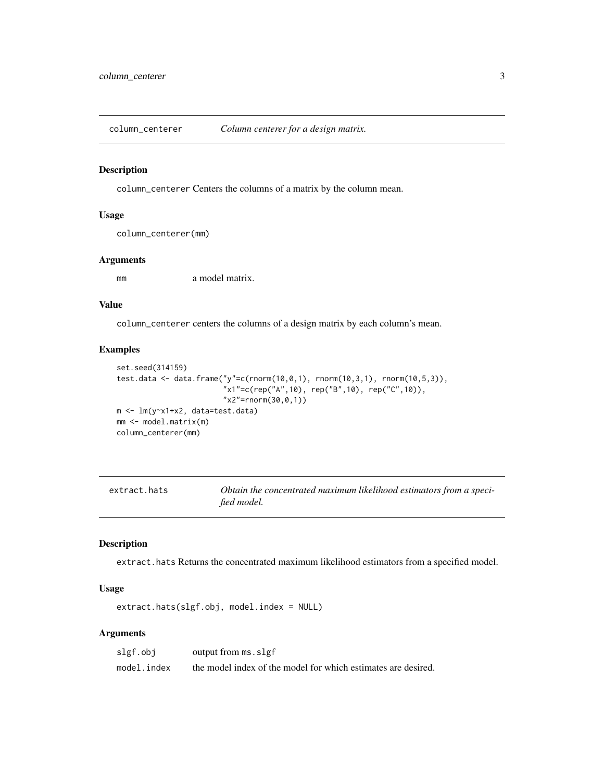<span id="page-2-0"></span>column\_centerer *Column centerer for a design matrix.*

#### Description

column\_centerer Centers the columns of a matrix by the column mean.

#### Usage

column\_centerer(mm)

#### Arguments

mm a model matrix.

#### Value

column\_centerer centers the columns of a design matrix by each column's mean.

#### Examples

```
set.seed(314159)
test.data <- data.frame("y"=c(rnorm(10,0,1), rnorm(10,3,1), rnorm(10,5,3)),
                        "x1"=c(rep("A",10), rep("B",10), rep("C",10)),
                        "x2"=rnorm(30,0,1))
m <- lm(y~x1+x2, data=test.data)
mm <- model.matrix(m)
column_centerer(mm)
```

| extract.hats | Obtain the concentrated maximum likelihood estimators from a speci- |
|--------------|---------------------------------------------------------------------|
|              | fied model.                                                         |

#### Description

extract.hats Returns the concentrated maximum likelihood estimators from a specified model.

#### Usage

extract.hats(slgf.obj, model.index = NULL)

#### Arguments

| slgf.obj    | output from ms. slgf                                          |
|-------------|---------------------------------------------------------------|
| model.index | the model index of the model for which estimates are desired. |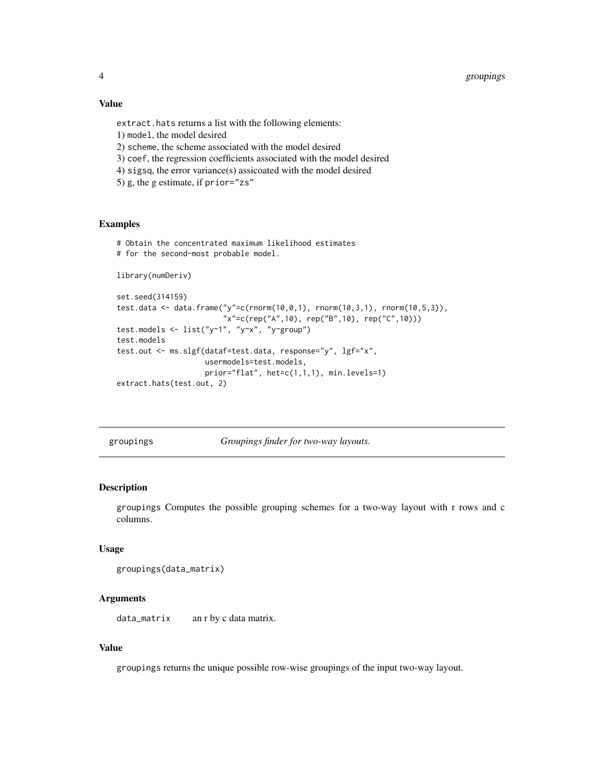#### <span id="page-3-0"></span>Value

extract.hats returns a list with the following elements: 1) model, the model desired 2) scheme, the scheme associated with the model desired 3) coef, the regression coefficients associated with the model desired 4) sigsq, the error variance(s) assicoated with the model desired 5) g, the g estimate, if prior="zs"

#### Examples

```
# Obtain the concentrated maximum likelihood estimates
```

```
# for the second-most probable model.
```

```
library(numDeriv)
```

```
set.seed(314159)
test.data <- data.frame("y"=c(rnorm(10,0,1), rnorm(10,3,1), rnorm(10,5,3)),
                        "x"=c(rep("A",10), rep("B",10), rep("C",10)))
test.models <- list("y~1", "y~x", "y~group")
test.models
test.out <- ms.slgf(dataf=test.data, response="y", lgf="x",
                    usermodels=test.models,
                    prior="flat", het=c(1,1,1), min.levels=1)
extract.hats(test.out, 2)
```
groupings *Groupings finder for two-way layouts.*

#### Description

groupings Computes the possible grouping schemes for a two-way layout with r rows and c columns.

#### Usage

```
groupings(data_matrix)
```
#### Arguments

data\_matrix an r by c data matrix.

#### Value

groupings returns the unique possible row-wise groupings of the input two-way layout.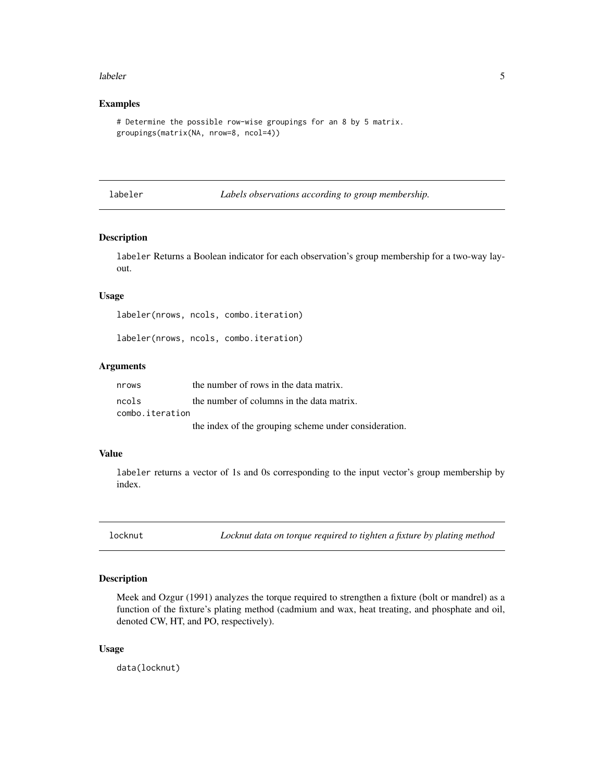#### <span id="page-4-0"></span>labeler 5

#### Examples

```
# Determine the possible row-wise groupings for an 8 by 5 matrix.
groupings(matrix(NA, nrow=8, ncol=4))
```
labeler *Labels observations according to group membership.*

#### Description

labeler Returns a Boolean indicator for each observation's group membership for a two-way layout.

#### Usage

labeler(nrows, ncols, combo.iteration)

labeler(nrows, ncols, combo.iteration)

#### Arguments

| nrows           | the number of rows in the data matrix.                |
|-----------------|-------------------------------------------------------|
| ncols           | the number of columns in the data matrix.             |
| combo.iteration |                                                       |
|                 | the index of the grouping scheme under consideration. |

#### Value

labeler returns a vector of 1s and 0s corresponding to the input vector's group membership by index.

locknut *Locknut data on torque required to tighten a fixture by plating method*

#### Description

Meek and Ozgur (1991) analyzes the torque required to strengthen a fixture (bolt or mandrel) as a function of the fixture's plating method (cadmium and wax, heat treating, and phosphate and oil, denoted CW, HT, and PO, respectively).

#### Usage

data(locknut)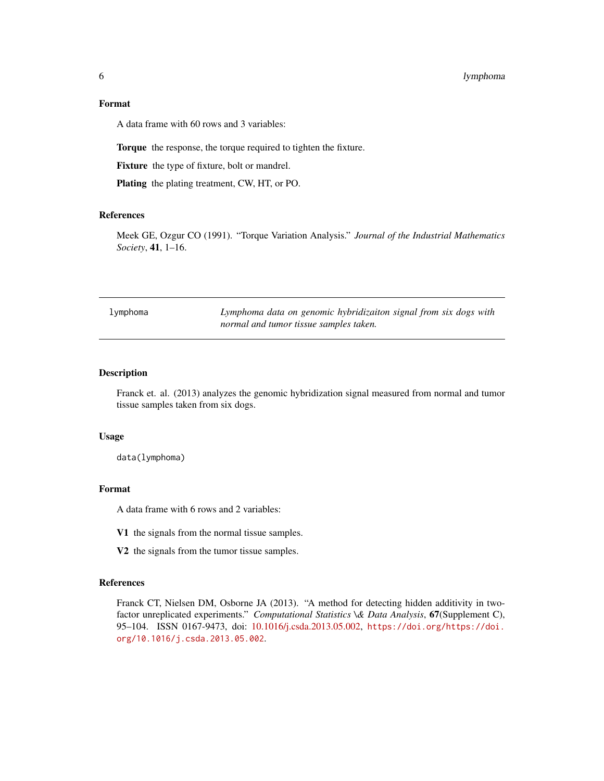#### <span id="page-5-0"></span>6 lymphoma

#### Format

A data frame with 60 rows and 3 variables:

Torque the response, the torque required to tighten the fixture.

Fixture the type of fixture, bolt or mandrel.

Plating the plating treatment, CW, HT, or PO.

#### References

Meek GE, Ozgur CO (1991). "Torque Variation Analysis." *Journal of the Industrial Mathematics Society*, 41, 1–16.

| lymphoma | Lymphoma data on genomic hybridizaiton signal from six dogs with |
|----------|------------------------------------------------------------------|
|          | normal and tumor tissue samples taken.                           |

#### Description

Franck et. al. (2013) analyzes the genomic hybridization signal measured from normal and tumor tissue samples taken from six dogs.

#### Usage

data(lymphoma)

#### Format

A data frame with 6 rows and 2 variables:

- V1 the signals from the normal tissue samples.
- V2 the signals from the tumor tissue samples.

#### References

Franck CT, Nielsen DM, Osborne JA (2013). "A method for detecting hidden additivity in twofactor unreplicated experiments." *Computational Statistics \& Data Analysis*, 67(Supplement C), 95–104. ISSN 0167-9473, doi: [10.1016/j.csda.2013.05.002,](https://doi.org/10.1016/j.csda.2013.05.002) [https://doi.org/https://doi.](https://doi.org/https://doi.org/10.1016/j.csda.2013.05.002) [org/10.1016/j.csda.2013.05.002](https://doi.org/https://doi.org/10.1016/j.csda.2013.05.002).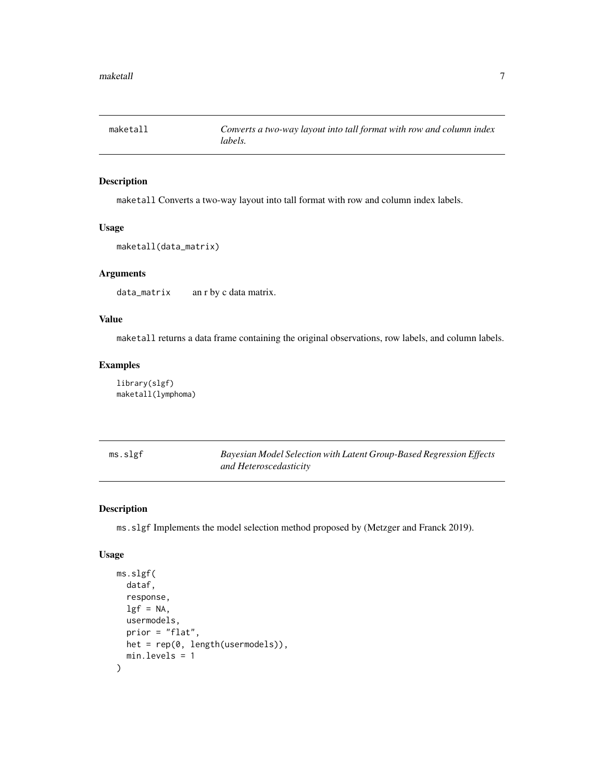<span id="page-6-0"></span>

#### Description

maketall Converts a two-way layout into tall format with row and column index labels.

#### Usage

```
maketall(data_matrix)
```
#### Arguments

data\_matrix an r by c data matrix.

#### Value

maketall returns a data frame containing the original observations, row labels, and column labels.

#### Examples

library(slgf) maketall(lymphoma)

ms.slgf *Bayesian Model Selection with Latent Group-Based Regression Effects and Heteroscedasticity*

#### Description

ms.slgf Implements the model selection method proposed by (Metzger and Franck 2019).

#### Usage

```
ms.slgf(
  dataf,
  response,
  lgf = NA,
  usermodels,
  prior = "flat",
 het = rep(0, length(usermodels)),
  min.levels = 1
)
```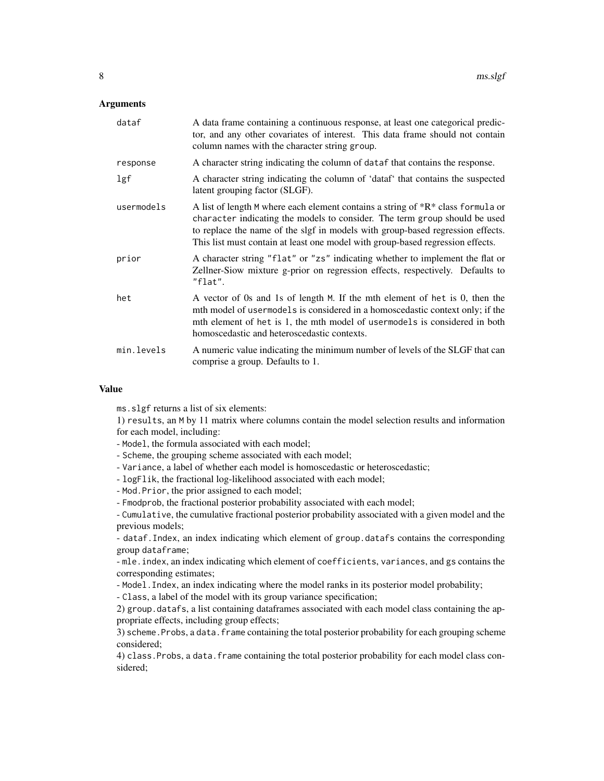#### **Arguments**

| dataf      | A data frame containing a continuous response, at least one categorical predic-<br>tor, and any other covariates of interest. This data frame should not contain<br>column names with the character string group.                                                                                                                   |
|------------|-------------------------------------------------------------------------------------------------------------------------------------------------------------------------------------------------------------------------------------------------------------------------------------------------------------------------------------|
| response   | A character string indicating the column of dataf that contains the response.                                                                                                                                                                                                                                                       |
| lgf        | A character string indicating the column of 'dataf' that contains the suspected<br>latent grouping factor (SLGF).                                                                                                                                                                                                                   |
| usermodels | A list of length M where each element contains a string of $*R*$ class formula or<br>character indicating the models to consider. The term group should be used<br>to replace the name of the slgf in models with group-based regression effects.<br>This list must contain at least one model with group-based regression effects. |
| prior      | A character string "flat" or "zs" indicating whether to implement the flat or<br>Zellner-Siow mixture g-prior on regression effects, respectively. Defaults to<br>"flat".                                                                                                                                                           |
| het        | A vector of 0s and 1s of length M. If the mth element of het is 0, then the<br>mth model of usermodels is considered in a homoscedastic context only; if the<br>mth element of het is 1, the mth model of usermodels is considered in both<br>homoscedastic and heteroscedastic contexts.                                           |
| min.levels | A numeric value indicating the minimum number of levels of the SLGF that can<br>comprise a group. Defaults to 1.                                                                                                                                                                                                                    |

#### Value

ms.slgf returns a list of six elements:

1) results, an M by 11 matrix where columns contain the model selection results and information for each model, including:

- Model, the formula associated with each model;
- Scheme, the grouping scheme associated with each model;
- Variance, a label of whether each model is homoscedastic or heteroscedastic;
- logFlik, the fractional log-likelihood associated with each model;
- Mod.Prior, the prior assigned to each model;
- Fmodprob, the fractional posterior probability associated with each model;

- Cumulative, the cumulative fractional posterior probability associated with a given model and the previous models;

- dataf.Index, an index indicating which element of group.datafs contains the corresponding group dataframe;

- mle.index, an index indicating which element of coefficients, variances, and gs contains the corresponding estimates;

- Model.Index, an index indicating where the model ranks in its posterior model probability;

- Class, a label of the model with its group variance specification;

2) group.datafs, a list containing dataframes associated with each model class containing the appropriate effects, including group effects;

3) scheme. Probs, a data. frame containing the total posterior probability for each grouping scheme considered;

4) class.Probs, a data.frame containing the total posterior probability for each model class considered;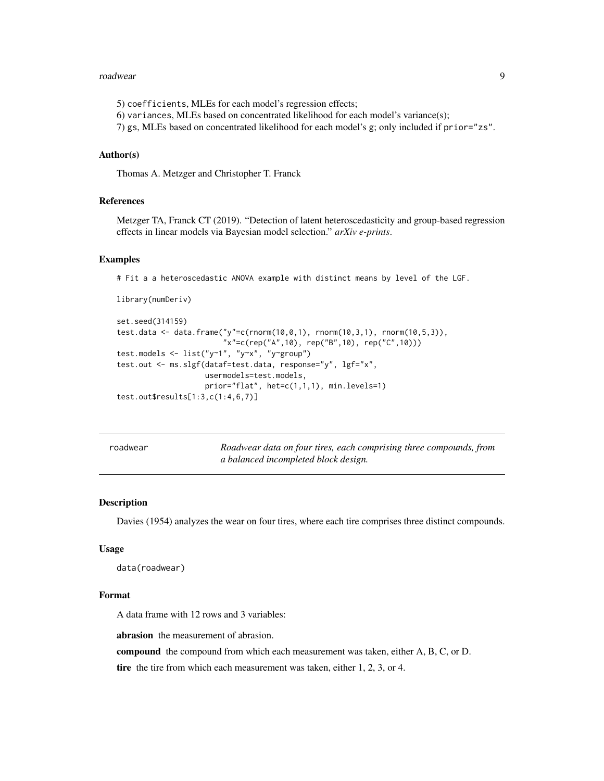#### <span id="page-8-0"></span>roadwear 90 August 2014 is a strong structure of the structure of the structure of the structure of the structure of the structure of the structure of the structure of the structure of the structure of the structure of the

5) coefficients, MLEs for each model's regression effects; 6) variances, MLEs based on concentrated likelihood for each model's variance(s); 7) gs, MLEs based on concentrated likelihood for each model's g; only included if prior="zs".

#### Author(s)

Thomas A. Metzger and Christopher T. Franck

#### References

Metzger TA, Franck CT (2019). "Detection of latent heteroscedasticity and group-based regression effects in linear models via Bayesian model selection." *arXiv e-prints*.

#### Examples

library(numDeriv)

# Fit a a heteroscedastic ANOVA example with distinct means by level of the LGF.

```
set.seed(314159)
test.data <- data.frame("y"=c(rnorm(10,0,1), rnorm(10,3,1), rnorm(10,5,3)),
                        "x"=c(rep("A",10), rep("B",10), rep("C",10)))
test.models <- list("y~1", "y~x", "y~group")
test.out <- ms.slgf(dataf=test.data, response="y", lgf="x",
                    usermodels=test.models,
                    prior="flat", het=c(1,1,1), min.levels=1)
test.out$results[1:3,c(1:4,6,7)]
```
roadwear *Roadwear data on four tires, each comprising three compounds, from a balanced incompleted block design.*

#### Description

Davies (1954) analyzes the wear on four tires, where each tire comprises three distinct compounds.

#### Usage

```
data(roadwear)
```
#### Format

A data frame with 12 rows and 3 variables:

abrasion the measurement of abrasion.

compound the compound from which each measurement was taken, either A, B, C, or D.

tire the tire from which each measurement was taken, either 1, 2, 3, or 4.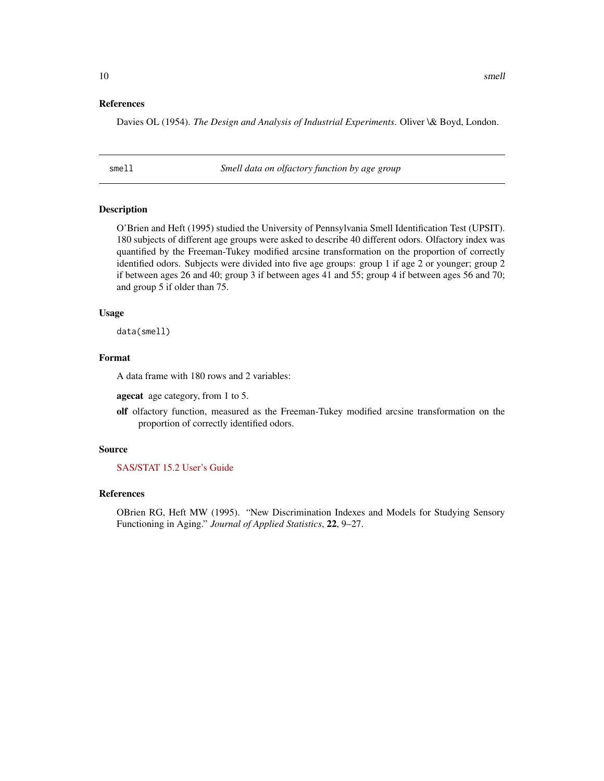#### <span id="page-9-0"></span>References

Davies OL (1954). *The Design and Analysis of Industrial Experiments*. Oliver \& Boyd, London.

smell *Smell data on olfactory function by age group*

#### Description

O'Brien and Heft (1995) studied the University of Pennsylvania Smell Identification Test (UPSIT). 180 subjects of different age groups were asked to describe 40 different odors. Olfactory index was quantified by the Freeman-Tukey modified arcsine transformation on the proportion of correctly identified odors. Subjects were divided into five age groups: group 1 if age 2 or younger; group 2 if between ages 26 and 40; group 3 if between ages 41 and 55; group 4 if between ages 56 and 70; and group 5 if older than 75.

#### Usage

data(smell)

#### Format

A data frame with 180 rows and 2 variables:

agecat age category, from 1 to 5.

olf olfactory function, measured as the Freeman-Tukey modified arcsine transformation on the proportion of correctly identified odors.

#### Source

[SAS/STAT 15.2 User's Guide](https://documentation.sas.com/?docsetId=statug&docsetTarget=statug_glm_examples10.htm&docsetVersion=15.2&locale=zh-TW)

#### References

OBrien RG, Heft MW (1995). "New Discrimination Indexes and Models for Studying Sensory Functioning in Aging." *Journal of Applied Statistics*, 22, 9–27.